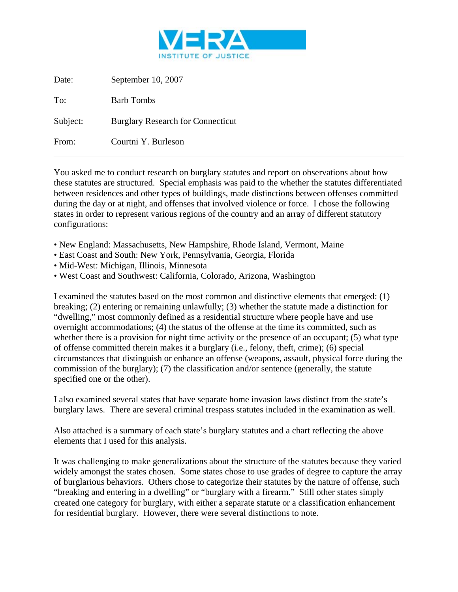

| Date:    | September 10, 2007                       |
|----------|------------------------------------------|
| To:      | <b>Barb Tombs</b>                        |
| Subject: | <b>Burglary Research for Connecticut</b> |
| From:    | Courtni Y. Burleson                      |

You asked me to conduct research on burglary statutes and report on observations about how these statutes are structured. Special emphasis was paid to the whether the statutes differentiated between residences and other types of buildings, made distinctions between offenses committed during the day or at night, and offenses that involved violence or force. I chose the following states in order to represent various regions of the country and an array of different statutory configurations:

- New England: Massachusetts, New Hampshire, Rhode Island, Vermont, Maine
- East Coast and South: New York, Pennsylvania, Georgia, Florida
- Mid-West: Michigan, Illinois, Minnesota
- West Coast and Southwest: California, Colorado, Arizona, Washington

I examined the statutes based on the most common and distinctive elements that emerged: (1) breaking; (2) entering or remaining unlawfully; (3) whether the statute made a distinction for "dwelling," most commonly defined as a residential structure where people have and use overnight accommodations; (4) the status of the offense at the time its committed, such as whether there is a provision for night time activity or the presence of an occupant; (5) what type of offense committed therein makes it a burglary (i.e., felony, theft, crime); (6) special circumstances that distinguish or enhance an offense (weapons, assault, physical force during the commission of the burglary); (7) the classification and/or sentence (generally, the statute specified one or the other).

I also examined several states that have separate home invasion laws distinct from the state's burglary laws. There are several criminal trespass statutes included in the examination as well.

Also attached is a summary of each state's burglary statutes and a chart reflecting the above elements that I used for this analysis.

It was challenging to make generalizations about the structure of the statutes because they varied widely amongst the states chosen. Some states chose to use grades of degree to capture the array of burglarious behaviors. Others chose to categorize their statutes by the nature of offense, such "breaking and entering in a dwelling" or "burglary with a firearm." Still other states simply created one category for burglary, with either a separate statute or a classification enhancement for residential burglary. However, there were several distinctions to note.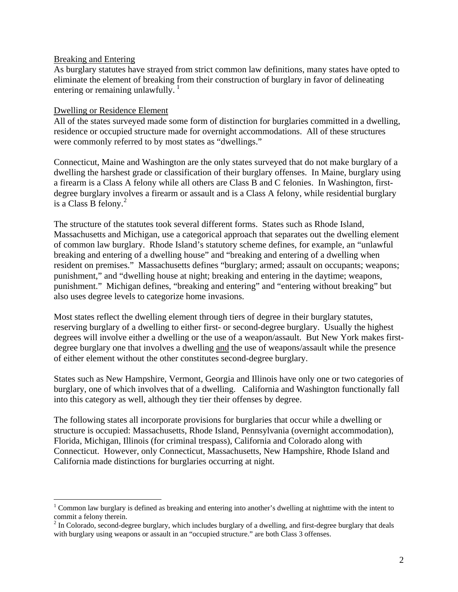### Breaking and Entering

 $\overline{a}$ 

As burglary statutes have strayed from strict common law definitions, many states have opted to eliminate the element of breaking from their construction of burglary in favor of delineating entering or remaining unlawfully.  $\frac{1}{1}$  $\frac{1}{1}$  $\frac{1}{1}$ 

### Dwelling or Residence Element

All of the states surveyed made some form of distinction for burglaries committed in a dwelling, residence or occupied structure made for overnight accommodations. All of these structures were commonly referred to by most states as "dwellings."

Connecticut, Maine and Washington are the only states surveyed that do not make burglary of a dwelling the harshest grade or classification of their burglary offenses. In Maine, burglary using a firearm is a Class A felony while all others are Class B and C felonies. In Washington, firstdegree burglary involves a firearm or assault and is a Class A felony, while residential burglary is a Class B felony. $^2$  $^2$ 

The structure of the statutes took several different forms. States such as Rhode Island, Massachusetts and Michigan, use a categorical approach that separates out the dwelling element of common law burglary. Rhode Island's statutory scheme defines, for example, an "unlawful breaking and entering of a dwelling house" and "breaking and entering of a dwelling when resident on premises." Massachusetts defines "burglary; armed; assault on occupants; weapons; punishment," and "dwelling house at night; breaking and entering in the daytime; weapons, punishment." Michigan defines, "breaking and entering" and "entering without breaking" but also uses degree levels to categorize home invasions.

Most states reflect the dwelling element through tiers of degree in their burglary statutes, reserving burglary of a dwelling to either first- or second-degree burglary. Usually the highest degrees will involve either a dwelling or the use of a weapon/assault. But New York makes firstdegree burglary one that involves a dwelling and the use of weapons/assault while the presence of either element without the other constitutes second-degree burglary.

States such as New Hampshire, Vermont, Georgia and Illinois have only one or two categories of burglary, one of which involves that of a dwelling. California and Washington functionally fall into this category as well, although they tier their offenses by degree.

The following states all incorporate provisions for burglaries that occur while a dwelling or structure is occupied: Massachusetts, Rhode Island, Pennsylvania (overnight accommodation), Florida, Michigan, Illinois (for criminal trespass), California and Colorado along with Connecticut. However, only Connecticut, Massachusetts, New Hampshire, Rhode Island and California made distinctions for burglaries occurring at night.

<span id="page-1-0"></span><sup>&</sup>lt;sup>1</sup> Common law burglary is defined as breaking and entering into another's dwelling at nighttime with the intent to commit a felony therein. 2 In Colorado, second-degree burglary, which includes burglary of a dwelling, and first-degree burglary that deals

<span id="page-1-1"></span>with burglary using weapons or assault in an "occupied structure." are both Class 3 offenses.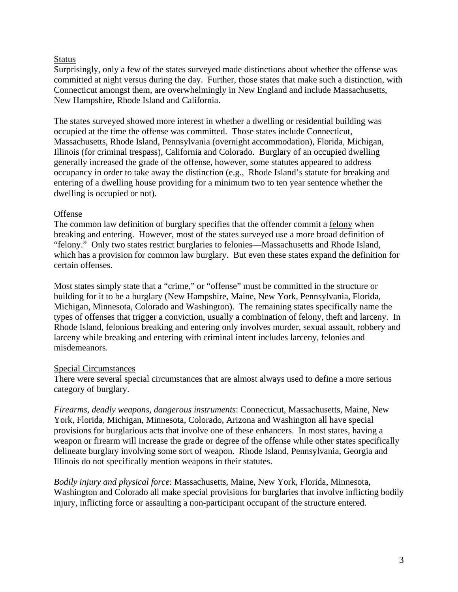## Status

Surprisingly, only a few of the states surveyed made distinctions about whether the offense was committed at night versus during the day. Further, those states that make such a distinction, with Connecticut amongst them, are overwhelmingly in New England and include Massachusetts, New Hampshire, Rhode Island and California.

The states surveyed showed more interest in whether a dwelling or residential building was occupied at the time the offense was committed. Those states include Connecticut, Massachusetts, Rhode Island, Pennsylvania (overnight accommodation), Florida, Michigan, Illinois (for criminal trespass), California and Colorado. Burglary of an occupied dwelling generally increased the grade of the offense, however, some statutes appeared to address occupancy in order to take away the distinction (e.g., Rhode Island's statute for breaking and entering of a dwelling house providing for a minimum two to ten year sentence whether the dwelling is occupied or not).

### Offense

The common law definition of burglary specifies that the offender commit a felony when breaking and entering. However, most of the states surveyed use a more broad definition of "felony." Only two states restrict burglaries to felonies—Massachusetts and Rhode Island, which has a provision for common law burglary. But even these states expand the definition for certain offenses.

Most states simply state that a "crime," or "offense" must be committed in the structure or building for it to be a burglary (New Hampshire, Maine, New York, Pennsylvania, Florida, Michigan, Minnesota, Colorado and Washington). The remaining states specifically name the types of offenses that trigger a conviction, usually a combination of felony, theft and larceny. In Rhode Island, felonious breaking and entering only involves murder, sexual assault, robbery and larceny while breaking and entering with criminal intent includes larceny, felonies and misdemeanors.

# Special Circumstances

There were several special circumstances that are almost always used to define a more serious category of burglary.

*Firearms, deadly weapons, dangerous instruments*: Connecticut, Massachusetts, Maine, New York, Florida, Michigan, Minnesota, Colorado, Arizona and Washington all have special provisions for burglarious acts that involve one of these enhancers. In most states, having a weapon or firearm will increase the grade or degree of the offense while other states specifically delineate burglary involving some sort of weapon. Rhode Island, Pennsylvania, Georgia and Illinois do not specifically mention weapons in their statutes.

*Bodily injury and physical force*: Massachusetts, Maine, New York, Florida, Minnesota, Washington and Colorado all make special provisions for burglaries that involve inflicting bodily injury, inflicting force or assaulting a non-participant occupant of the structure entered.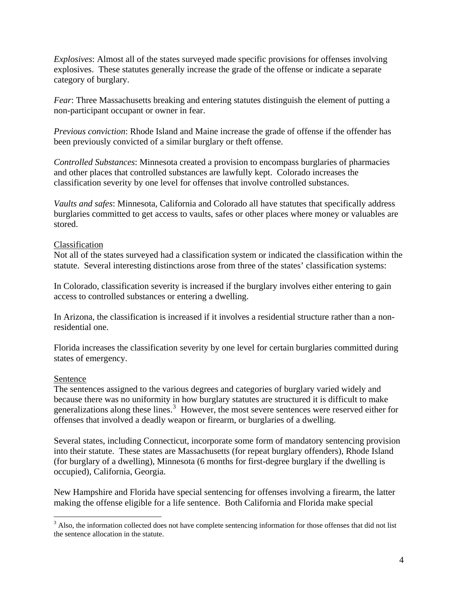*Explosives*: Almost all of the states surveyed made specific provisions for offenses involving explosives. These statutes generally increase the grade of the offense or indicate a separate category of burglary.

*Fear*: Three Massachusetts breaking and entering statutes distinguish the element of putting a non-participant occupant or owner in fear.

*Previous conviction*: Rhode Island and Maine increase the grade of offense if the offender has been previously convicted of a similar burglary or theft offense.

*Controlled Substances*: Minnesota created a provision to encompass burglaries of pharmacies and other places that controlled substances are lawfully kept. Colorado increases the classification severity by one level for offenses that involve controlled substances.

*Vaults and safes*: Minnesota, California and Colorado all have statutes that specifically address burglaries committed to get access to vaults, safes or other places where money or valuables are stored.

## Classification

Not all of the states surveyed had a classification system or indicated the classification within the statute. Several interesting distinctions arose from three of the states' classification systems:

In Colorado, classification severity is increased if the burglary involves either entering to gain access to controlled substances or entering a dwelling.

In Arizona, the classification is increased if it involves a residential structure rather than a nonresidential one.

Florida increases the classification severity by one level for certain burglaries committed during states of emergency.

### Sentence

The sentences assigned to the various degrees and categories of burglary varied widely and because there was no uniformity in how burglary statutes are structured it is difficult to make generalizations along these lines.<sup>[3](#page-3-0)</sup> However, the most severe sentences were reserved either for offenses that involved a deadly weapon or firearm, or burglaries of a dwelling.

Several states, including Connecticut, incorporate some form of mandatory sentencing provision into their statute. These states are Massachusetts (for repeat burglary offenders), Rhode Island (for burglary of a dwelling), Minnesota (6 months for first-degree burglary if the dwelling is occupied), California, Georgia.

New Hampshire and Florida have special sentencing for offenses involving a firearm, the latter making the offense eligible for a life sentence. Both California and Florida make special

<span id="page-3-0"></span><sup>&</sup>lt;sup>3</sup> Also, the information collected does not have complete sentencing information for those offenses that did not list the sentence allocation in the statute.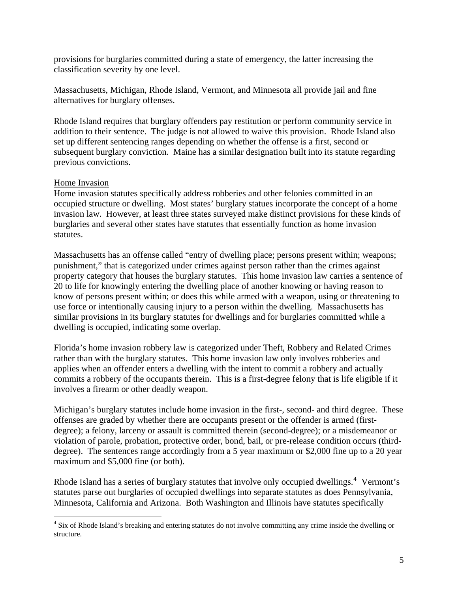provisions for burglaries committed during a state of emergency, the latter increasing the classification severity by one level.

Massachusetts, Michigan, Rhode Island, Vermont, and Minnesota all provide jail and fine alternatives for burglary offenses.

Rhode Island requires that burglary offenders pay restitution or perform community service in addition to their sentence. The judge is not allowed to waive this provision. Rhode Island also set up different sentencing ranges depending on whether the offense is a first, second or subsequent burglary conviction. Maine has a similar designation built into its statute regarding previous convictions.

## Home Invasion

 $\overline{a}$ 

Home invasion statutes specifically address robberies and other felonies committed in an occupied structure or dwelling. Most states' burglary statues incorporate the concept of a home invasion law. However, at least three states surveyed make distinct provisions for these kinds of burglaries and several other states have statutes that essentially function as home invasion statutes.

Massachusetts has an offense called "entry of dwelling place; persons present within; weapons; punishment," that is categorized under crimes against person rather than the crimes against property category that houses the burglary statutes. This home invasion law carries a sentence of 20 to life for knowingly entering the dwelling place of another knowing or having reason to know of persons present within; or does this while armed with a weapon, using or threatening to use force or intentionally causing injury to a person within the dwelling. Massachusetts has similar provisions in its burglary statutes for dwellings and for burglaries committed while a dwelling is occupied, indicating some overlap.

Florida's home invasion robbery law is categorized under Theft, Robbery and Related Crimes rather than with the burglary statutes. This home invasion law only involves robberies and applies when an offender enters a dwelling with the intent to commit a robbery and actually commits a robbery of the occupants therein. This is a first-degree felony that is life eligible if it involves a firearm or other deadly weapon.

Michigan's burglary statutes include home invasion in the first-, second- and third degree. These offenses are graded by whether there are occupants present or the offender is armed (firstdegree); a felony, larceny or assault is committed therein (second-degree); or a misdemeanor or violation of parole, probation, protective order, bond, bail, or pre-release condition occurs (thirddegree). The sentences range accordingly from a 5 year maximum or \$2,000 fine up to a 20 year maximum and \$5,000 fine (or both).

Rhode Island has a series of burglary statutes that involve only occupied dwellings.<sup>[4](#page-4-0)</sup> Vermont's statutes parse out burglaries of occupied dwellings into separate statutes as does Pennsylvania, Minnesota, California and Arizona. Both Washington and Illinois have statutes specifically

<span id="page-4-0"></span><sup>&</sup>lt;sup>4</sup> Six of Rhode Island's breaking and entering statutes do not involve committing any crime inside the dwelling or structure.